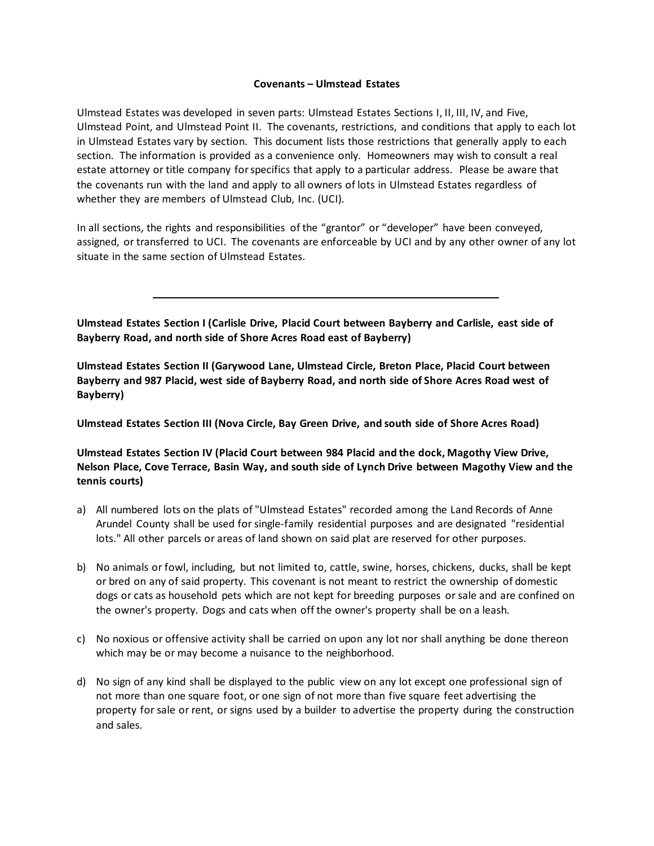## **Covenants – Ulmstead Estates**

Ulmstead Estates was developed in seven parts: Ulmstead Estates Sections I, II, III, IV, and Five, Ulmstead Point, and Ulmstead Point II. The covenants, restrictions, and conditions that apply to each lot in Ulmstead Estates vary by section. This document lists those restrictions that generally apply to each section. The information is provided as a convenience only. Homeowners may wish to consult a real estate attorney or title company for specifics that apply to a particular address. Please be aware that the covenants run with the land and apply to all owners of lots in Ulmstead Estates regardless of whether they are members of Ulmstead Club, Inc. (UCI).

In all sections, the rights and responsibilities of the "grantor" or "developer" have been conveyed, assigned, or transferred to UCI. The covenants are enforceable by UCI and by any other owner of any lot situate in the same section of Ulmstead Estates.

**Ulmstead Estates Section I (Carlisle Drive, Placid Court between Bayberry and Carlisle, east side of Bayberry Road, and north side of Shore Acres Road east of Bayberry)**

**Ulmstead Estates Section II (Garywood Lane, Ulmstead Circle, Breton Place, Placid Court between Bayberry and 987 Placid, west side of Bayberry Road, and north side of Shore Acres Road west of Bayberry)**

**Ulmstead Estates Section III (Nova Circle, Bay Green Drive, and south side of Shore Acres Road)**

**Ulmstead Estates Section IV (Placid Court between 984 Placid and the dock, Magothy View Drive, Nelson Place, Cove Terrace, Basin Way, and south side of Lynch Drive between Magothy View and the tennis courts)**

- a) All numbered lots on the plats of "Ulmstead Estates" recorded among the Land Records of Anne Arundel County shall be used for single-family residential purposes and are designated "residential lots." All other parcels or areas of land shown on said plat are reserved for other purposes.
- b) No animals or fowl, including, but not limited to, cattle, swine, horses, chickens, ducks, shall be kept or bred on any of said property. This covenant is not meant to restrict the ownership of domestic dogs or cats as household pets which are not kept for breeding purposes or sale and are confined on the owner's property. Dogs and cats when off the owner's property shall be on a leash.
- c) No noxious or offensive activity shall be carried on upon any lot nor shall anything be done thereon which may be or may become a nuisance to the neighborhood.
- d) No sign of any kind shall be displayed to the public view on any lot except one professional sign of not more than one square foot, or one sign of not more than five square feet advertising the property for sale or rent, or signs used by a builder to advertise the property during the construction and sales.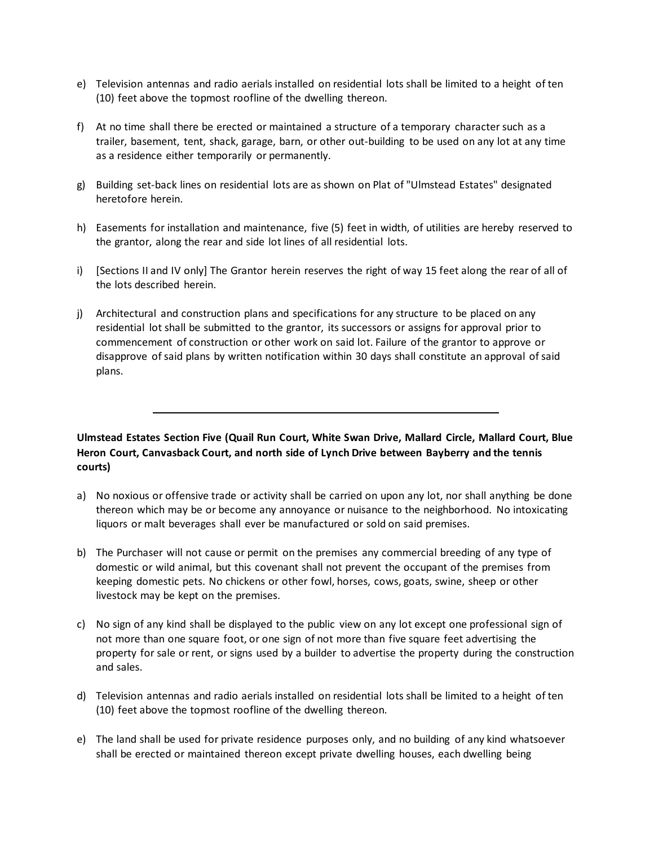- e) Television antennas and radio aerials installed on residential lots shall be limited to a height of ten (10) feet above the topmost roofline of the dwelling thereon.
- f) At no time shall there be erected or maintained a structure of a temporary character such as a trailer, basement, tent, shack, garage, barn, or other out-building to be used on any lot at any time as a residence either temporarily or permanently.
- g) Building set-back lines on residential lots are as shown on Plat of "Ulmstead Estates" designated heretofore herein.
- h) Easements for installation and maintenance, five (5) feet in width, of utilities are hereby reserved to the grantor, along the rear and side lot lines of all residential lots.
- i) [Sections II and IV only] The Grantor herein reserves the right of way 15 feet along the rear of all of the lots described herein.
- j) Architectural and construction plans and specifications for any structure to be placed on any residential lot shall be submitted to the grantor, its successors or assigns for approval prior to commencement of construction or other work on said lot. Failure of the grantor to approve or disapprove of said plans by written notification within 30 days shall constitute an approval of said plans.

## **Ulmstead Estates Section Five (Quail Run Court, White Swan Drive, Mallard Circle, Mallard Court, Blue Heron Court, Canvasback Court, and north side of Lynch Drive between Bayberry and the tennis courts)**

- a) No noxious or offensive trade or activity shall be carried on upon any lot, nor shall anything be done thereon which may be or become any annoyance or nuisance to the neighborhood. No intoxicating liquors or malt beverages shall ever be manufactured or sold on said premises.
- b) The Purchaser will not cause or permit on the premises any commercial breeding of any type of domestic or wild animal, but this covenant shall not prevent the occupant of the premises from keeping domestic pets. No chickens or other fowl, horses, cows, goats, swine, sheep or other livestock may be kept on the premises.
- c) No sign of any kind shall be displayed to the public view on any lot except one professional sign of not more than one square foot, or one sign of not more than five square feet advertising the property for sale or rent, or signs used by a builder to advertise the property during the construction and sales.
- d) Television antennas and radio aerials installed on residential lots shall be limited to a height of ten (10) feet above the topmost roofline of the dwelling thereon.
- e) The land shall be used for private residence purposes only, and no building of any kind whatsoever shall be erected or maintained thereon except private dwelling houses, each dwelling being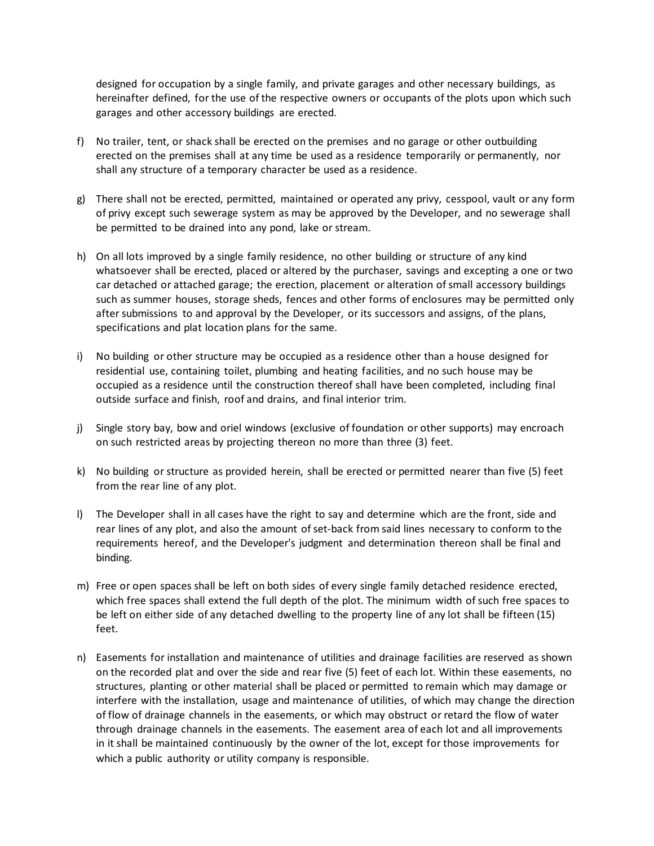designed for occupation by a single family, and private garages and other necessary buildings, as hereinafter defined, for the use of the respective owners or occupants of the plots upon which such garages and other accessory buildings are erected.

- f) No trailer, tent, or shack shall be erected on the premises and no garage or other outbuilding erected on the premises shall at any time be used as a residence temporarily or permanently, nor shall any structure of a temporary character be used as a residence.
- g) There shall not be erected, permitted, maintained or operated any privy, cesspool, vault or any form of privy except such sewerage system as may be approved by the Developer, and no sewerage shall be permitted to be drained into any pond, lake or stream.
- h) On all lots improved by a single family residence, no other building or structure of any kind whatsoever shall be erected, placed or altered by the purchaser, savings and excepting a one or two car detached or attached garage; the erection, placement or alteration of small accessory buildings such as summer houses, storage sheds, fences and other forms of enclosures may be permitted only after submissions to and approval by the Developer, or its successors and assigns, of the plans, specifications and plat location plans for the same.
- i) No building or other structure may be occupied as a residence other than a house designed for residential use, containing toilet, plumbing and heating facilities, and no such house may be occupied as a residence until the construction thereof shall have been completed, including final outside surface and finish, roof and drains, and final interior trim.
- j) Single story bay, bow and oriel windows (exclusive of foundation or other supports) may encroach on such restricted areas by projecting thereon no more than three (3) feet.
- k) No building or structure as provided herein, shall be erected or permitted nearer than five (5) feet from the rear line of any plot.
- l) The Developer shall in all cases have the right to say and determine which are the front, side and rear lines of any plot, and also the amount of set-back from said lines necessary to conform to the requirements hereof, and the Developer's judgment and determination thereon shall be final and binding.
- m) Free or open spaces shall be left on both sides of every single family detached residence erected, which free spaces shall extend the full depth of the plot. The minimum width of such free spaces to be left on either side of any detached dwelling to the property line of any lot shall be fifteen (15) feet.
- n) Easements for installation and maintenance of utilities and drainage facilities are reserved as shown on the recorded plat and over the side and rear five (5) feet of each lot. Within these easements, no structures, planting or other material shall be placed or permitted to remain which may damage or interfere with the installation, usage and maintenance of utilities, of which may change the direction of flow of drainage channels in the easements, or which may obstruct or retard the flow of water through drainage channels in the easements. The easement area of each lot and all improvements in it shall be maintained continuously by the owner of the lot, except for those improvements for which a public authority or utility company is responsible.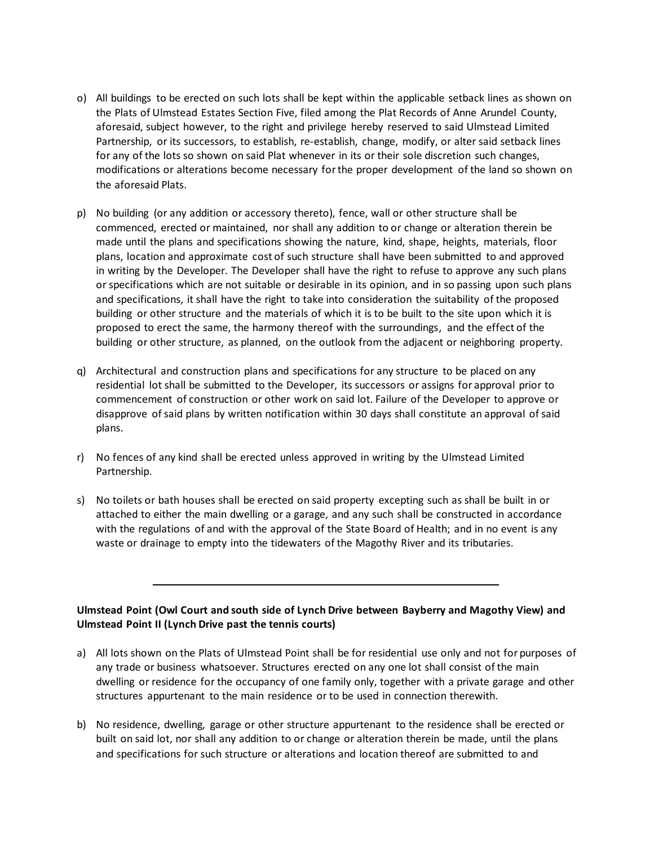- o) All buildings to be erected on such lots shall be kept within the applicable setback lines as shown on the Plats of Ulmstead Estates Section Five, filed among the Plat Records of Anne Arundel County, aforesaid, subject however, to the right and privilege hereby reserved to said Ulmstead Limited Partnership, or its successors, to establish, re-establish, change, modify, or alter said setback lines for any of the lots so shown on said Plat whenever in its or their sole discretion such changes, modifications or alterations become necessary for the proper development of the land so shown on the aforesaid Plats.
- p) No building (or any addition or accessory thereto), fence, wall or other structure shall be commenced, erected or maintained, nor shall any addition to or change or alteration therein be made until the plans and specifications showing the nature, kind, shape, heights, materials, floor plans, location and approximate cost of such structure shall have been submitted to and approved in writing by the Developer. The Developer shall have the right to refuse to approve any such plans or specifications which are not suitable or desirable in its opinion, and in so passing upon such plans and specifications, it shall have the right to take into consideration the suitability of the proposed building or other structure and the materials of which it is to be built to the site upon which it is proposed to erect the same, the harmony thereof with the surroundings, and the effect of the building or other structure, as planned, on the outlook from the adjacent or neighboring property.
- q) Architectural and construction plans and specifications for any structure to be placed on any residential lot shall be submitted to the Developer, its successors or assigns for approval prior to commencement of construction or other work on said lot. Failure of the Developer to approve or disapprove of said plans by written notification within 30 days shall constitute an approval of said plans.
- r) No fences of any kind shall be erected unless approved in writing by the Ulmstead Limited Partnership.
- s) No toilets or bath houses shall be erected on said property excepting such as shall be built in or attached to either the main dwelling or a garage, and any such shall be constructed in accordance with the regulations of and with the approval of the State Board of Health; and in no event is any waste or drainage to empty into the tidewaters of the Magothy River and its tributaries.

## **Ulmstead Point (Owl Court and south side of Lynch Drive between Bayberry and Magothy View) and Ulmstead Point II (Lynch Drive past the tennis courts)**

- a) All lots shown on the Plats of Ulmstead Point shall be for residential use only and not for purposes of any trade or business whatsoever. Structures erected on any one lot shall consist of the main dwelling or residence for the occupancy of one family only, together with a private garage and other structures appurtenant to the main residence or to be used in connection therewith.
- b) No residence, dwelling, garage or other structure appurtenant to the residence shall be erected or built on said lot, nor shall any addition to or change or alteration therein be made, until the plans and specifications for such structure or alterations and location thereof are submitted to and